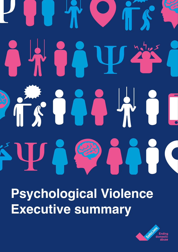# $\mathcal{L}$  $\mathcal{C}^{\bullet}$  $\begin{array}{c} \begin{array}{c} \end{array} \end{array}$  $\overline{\phantom{a}}$

**Psychological Violence Executive summary**

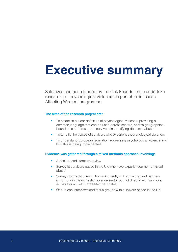# **Executive summary**

SafeLives has been funded by the Oak Foundation to undertake research on 'psychological violence' as part of their 'Issues Affecting Women' programme.

#### **The aims of the research project are:**

- To establish a clear definition of psychological violence, providing a common language that can be used across sectors, across geographical boundaries and to support survivors in identifying domestic abuse.
- To amplify the voices of survivors who experience psychological violence.
- To understand European legislation addressing psychological violence and how this is being implemented.

#### **Evidence was gathered through a mixed-methods approach involving:**

- A desk-based literature review
- Survey to survivors based in the UK who have experienced non-physical abuse
- Surveys to practitioners (who work directly with survivors) and partners (who work in the domestic violence sector but not directly with survivors) across Council of Europe Member States
- One-to one interviews and focus groups with survivors based in the UK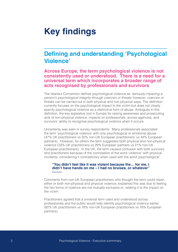# **Key findings**

### **Defining and understanding 'Psychological Violence'**

#### **Across Europe, the term psychological violence is not consistently used or understood. There is a need for a universal term which incorporates a broader range of acts recognised by professionals and survivors**

The Istanbul Convention defines psychological violence as *'seriously impairing a person's psychological integrity through coercion or threats'* however, coercion or threats can be carried out in both physical and non-physical ways. The definition currently focuses on the psychological impact to the victim but does not clearly specify psychological violence as a distinctive form of abuse. Ambiguity in this definition, the key legislative tool in Europe for raising awareness and prosecuting acts of non-physical violence, impacts on professionals, across agencies, and survivors' ability to recognise psychological violence when it occurs.

Uncertainty was seen in survey respondents. Many professionals associated the term 'psychological violence' with only psychological or emotional abuse (47% UK practitioners vs 50% non-UK European practitioners' vs 44% European partners). However, for others the term suggested both physical and non-physical violence (33% UK practitioners vs 29% European partners vs 21% non-UK European practitioners). In the UK, the term caused confusion with both survivors and practitioners because of the connotation of the word 'violence' with physical incidents, considering it contradictory when used with the word 'psychological'.

#### **"You didn't feel like it was violent because the… for me, I didn't have hands on me – I had no bruises, or whatever"**  Survivor

Comments from non-UK European practitioners who thought the term could mean, either or both non-physical and physical violence, explained this was due to feeling the two forms of violence are not mutually exclusive or, relating it to the impact on the victim.

Practitioners agreed that a universal term used and understood across professionals and the public would help identify psychological violence earlier (82% UK practitioners vs 78% non-UK European practitioners vs 76% European partners).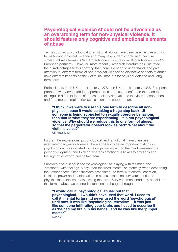#### **Psychological violence should not be advocated as an overarching term for non-physical violence. It should feature only cognitive and emotional elements of abuse**

Terms such as 'psychological or emotional' abuse have been used as overarching terms for non-physical violence and many respondents confirmed they use similar umbrella terms (56% UK practitioners vs 40% non-UK practitioners vs 41% European partners). However, more recently, research literature has illustrated the disadvantages to this showing that there is a need to understand, and give attention to, different forms of non-physical violence as distinctive aspects of abuse have different impacts on the victim, risk markers for physical violence and, longterm harm.

Professionals (44% UK practitioners vs 27% non-UK practitioners vs 38% European partners) who advocated for separate terms to be used confirmed the need to distinguish different forms of abuse, to clarify and validate the victim's experience, and for a more complete risk assessment and support plan.

**"I think if we were to use this one term to describe all nonphysical abuse it would be taking a huge step back…if someone is being subjected to sexually coercive behaviour, then that is what they are experiencing - it is not psychological violence. Why should we reduce this to one form of abuse, so that the perpetrator doesn't look as bad? What about the victim's voice?"** 

UK Practitioner

Further, the expressions 'psychological' and 'emotional' have often been used interchangeably however there appears to be an important distinction; psychological is associated with a cognitive impact on the mind, weakening a person's judgment and thinking whereas emotional is linked to emotions and feelings of self-worth and self-esteem.

Survivors also distinguished 'psychological' as playing with the mind and 'emotional' with feelings. Many used the word 'mental' or 'mentally' when describing their experiences. Other survivors associated the term with control, coercion, isolation, power and manipulation. In consultations, no survivors mentioned physical incidents when discussing the term. Survivors mentioned they considered this form of abuse as planned, intentional or thought through.

**"I would call it 'psychological abuse' but that… psychological… I wouldn't have used that word. I used to call it 'mental torture'…I never used the word 'psychological' until now. It was like 'psychological terrorism'…it was just like someone infiltrating your brain, and I used to describe it as 'he had my brain in his hands', and he was like the 'puppet master"** 

Survivor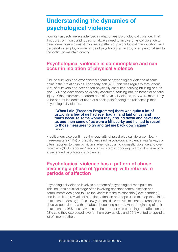# **Understanding the dynamics of psychological violence**

Four key aspects were evidenced in what drives psychological violence. That it occurs commonly and, does not always need to involve physical violence to gain power over victims; it involves a pattern of psychological manipulation; and perpetrators employ a wide range of psychological tactics, often personalised to the victim, to maintain control.

#### **Psychological violence is commonplace and can occur in isolation of physical violence**

91% of survivors had experienced a form of psychological violence at some point in their relationships. For nearly half (49%) this was regularly throughout. 42% of survivors had *never* been physically assaulted causing bruising or cuts and 76% had *never* been physically assaulted causing broken bones or serious injury. When survivors recorded acts of physical violence, they were more likely to be one-off incidents or used at a crisis point/ending the relationship than psychological violence.

**"When I did [Freedom Programme] there was quite a lot of us…only a few of us had ever had a hand laid on us, and that's because some women they ground down and never had to, and then some of us were a bit sparky and he had to resort to those measures to try and get me back down again"**  Survivor

Practitioners also confirmed the regularity of psychological violence. Nearly three-quarters (71%) of practitioners said psychological violence was 'always or often' reported to them by victims when discussing domestic violence and over two-thirds (68%) reported 'very often or often' supporting victims who have only experienced psychological violence.

#### **Psychological violence has a pattern of abuse involving a phase of 'grooming' with returns to periods of affection**

Psychological violence involves a pattern of psychological manipulation. This includes an initial stage often involving constant communication and compliments designed to lure the victim into the relationship ('love bombing') and intermittent revivals of attention, affection and hope used to keep them in the relationship ('dosing'). This slowly desensitises the victim's natural reaction to abusive behaviours, with the abuse becoming normal. At the beginning of their relationships, 96% of survivors said their partner was charming and affectionate, 93% said they expressed love for them very quickly and 92% wanted to spend a lot of time together.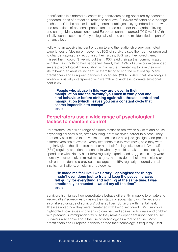Identification is hindered by controlling behaviours being obscured by accepted gendered ideas of protection, romance and love. Survivors reflected on a 'change of character' in the abuser including unreasonable jealousy, gendered put-downs, and restrictions of personal space often carried out under the façade of loving and caring. Many practitioners and European partners agreed (92% vs 91%) that initially, certain aspects of psychological violence can be misidentified as part of romantic love.

Following an abusive incident or trying to end the relationship survivors noted experiences of 'dosing or hoovering'. 80% of survivors said their partner promised to change, saying they recognised their issues; 85% said they loved them, missed them, couldn't live without them; 90% said their partner communicated with them as if nothing had happened. Nearly half (49%) of survivors experienced severe psychological manipulation with a partner threatening to take their own life following an abusive incident, or them trying to end the relationship. Many practitioners and European partners also agreed (90% vs 94%) that psychological violence is usually interspersed with warmth and kindness to create emotional confusion.

**"People who abuse in this way are clever in their manipulation and the drawing you back in with good and kind behaviour before striking again with threats, control and manipulation [which] leaves you on a constant cycle that seems impossible to escape"**  Survivor

#### **Perpetrators use a wide range of psychological tactics to maintain control**

Perpetrators use a wide range of hidden tactics to brainwash a victim and cause psychological confusion, often resulting in victims trying harder to please. They frequently shift blame to the victim, present insults as a joke, gaslight, and present different versions of events. Nearly two-thirds of survivors (65%) said they were regularly given the silent treatment or had their feelings discounted. Over half (53%) regularly experienced control in who they could speak to, meet socially or spend time with. Nearly half (48%) regularly experienced suggestions they were mentally unstable, given mixed messages, made to doubt their own thinking or their partners denied a previous message; and 45% regularly endured verbal insults, humiliations, criticisms or putdowns.

#### **"He made me feel like I was crazy. I apologised for things I hadn't even done just to try and keep the peace. I always felt guilty for everything and nothing at the same time. I was emotionally exhausted; I would cry all the time"**  Survivor

Survivors highlighted how perpetrators behave differently in public to private and, 'recruit allies' sometimes by using their status or social standing. Perpetrators also take advantage of survivors' vulnerabilities. Survivors with mental health illnesses noted how they were threatened with being sectioned. BME survivors highlighted how issues of citizenship can be used against individuals and children with precarious immigration status, so they remain dependent upon their abuser. Survivors also spoke about the use of technology as a tool of abuse. Most practitioners and European partners agreed that technology is frequently used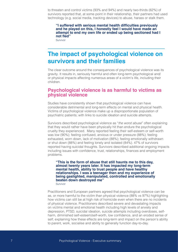to threaten and control victims (93% and 94%) and nearly two-thirds (62%) of survivors reported that, at some point in their relationship, their partners had used technology (e.g. social media, tracking devices) to abuse, harass or stalk them.

**"I suffered with serious mental health difficulties previously and he played on this, I honestly feel I would have made an attempt to end my own life or ended up being sectioned had I not fled"** 

Survivor

## **The impact of psychological violence on survivors and their families**

The clear outcome around the consequences of psychological violence was its gravity. It results in, seriously harmful and often long-term psychological and/ or physical impacts affecting numerous areas of a victim's life, including their children.

#### **Psychological violence is as harmful to victims as physical violence**

Studies have consistently shown that psychological violence can have considerable detrimental and long-term effects on mental and physical health. Victims of psychological violence make up a disproportionate population of psychiatric patients; with links to suicide ideation and suicide attempts.

Survivors described psychological violence as "*the worst abuse*" often explaining that they would rather have been physically hit than endure the psychological cruelty they experienced. Many reported feeling their self-esteem or self-worth was low (90%); feeling confused, anxious or under pressure (88%); feeling exhausted, worn down, lack of motivation (88%); feeling emotionally withdrawn or shut down (88%) and feeling lonely and isolated (84%). 47% of survivors reported having suicidal thoughts. Survivors described additional ongoing impacts including issues with confidence, trust, relationships, finances and employment problems.

**"This is the form of abuse that still haunts me to this day, almost twenty years later. It has impacted my long-term mental health, ability to trust people and have healthy relationships. I was a teenager then and my experience of being gaslighted, manipulated, controlled and emotionally beaten down destroyed me"**

Survivor

Practitioners and European partners agreed that psychological violence can be as, or more harmful to the victim than physical violence (88% vs 97%) highlighting how victims can still be at high risk of homicide even when there are no incidents of physical violence. Practitioners described severe and devastating impacts on victims mental and emotional health including high levels of anxiety and depression, PTSD, suicidal ideation, suicide attempts including overdoses, selfharm, diminished self-esteem/self-worth, low confidence, and an eroded sense of self; explaining how these effects are long-term and impact on the person's ability to parent, work, socialise and ability to generally function day-to-day.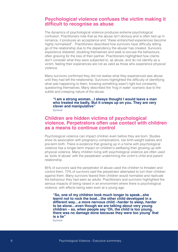#### **Psychological violence confuses the victim making it difficult to recognise as abuse**

The dynamics of psychological violence produces extreme psychological confusion. Practitioners note that as the abuse isn't obvious and is often tied up in romance, it produces an acceptance and "*these entrenched experiences become highly normalised*". Practitioners described how survivors have difficulty letting go of the relationship due to the dependency the abuser has created. Survivors experience disbelief, doubting themselves and seek to excuse the behaviours, often grieving for the loss of their partner. Practitioners highlighted how clients don't consider what they were subjected to, as abuse, and do not identify as a victim, feeling their experiences are not as valid as those who experience physical violence.

Many survivors confirmed they did not realise what they experienced was abuse until they had left the relationship. Survivors highlighted the difficulty of identifying what was happening to them, knowing something wasn't right but constantly questioning themselves. Many described the 'frog in water' scenario due to the subtle and creeping nature of the abuse.

**"I am a strong woman…I always thought I would leave a man who treated me badly. But it creeps up on you. They are very clever and manipulative"** 

Survivor

#### **Children are hidden victims of psychological violence. Perpetrators often use contact with children as a means to continue control**

Psychological violence can impact children even before they are born. Studies show its association with pregnancy complications, low birth-weight babies and pre-term birth. There is evidence that growing up in a home with psychological violence has a longer-term impact on children's wellbeing than growing up with physical violence. Many children living with psychological violence are often used as 'tools of abuse' with the perpetrator undermining the victim's child and parent relationship.

85% of survivors said the perpetrator of abuse used the children to threaten and control them. 72% of survivors said the perpetrator attempted to turn their children against them. Many survivors feared their children would normalise and replicate the behaviour they had seen as adults. Practitioners and survivors highlighted the serious impacts of being raised in an environment where there is psychological violence, with effects being seen even at a young age.

**"So, one of my children took much longer to speak...she learnt not to rock the boat…the other child developed in a different way…a more nervous child –harder to sleep, harder to be alone…even though we are talking about very young children – so, when people say 'Oh, the child is too young, there was no damage done because they were too young' that is a lie"** 

Survivor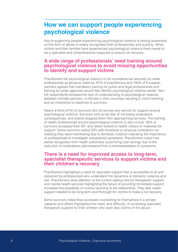## **How we can support people experiencing psychological violence**

Key to supporting people experiencing psychological violence is raising awareness so this form of abuse is widely recognised both professionally and publicly. When victims and their families have experienced psychological violence there needs to be a specialist and comprehensive response to ensure full recovery.

#### **A wide range of professionals' need training around psychological violence to avoid missing opportunities to identify and support victims**

Practitioners felt psychological violence is not considered as seriously by wider professionals as physical violence. 91% of practitioners and 100% of European partners agreed that mandatory training for police and legal professionals and training for wider agencies would help identify psychological violence earlier. Non-UK respondents stressed the lack of understanding of psychological violence, between intimate partners, in officials in their countries resulting in victim blaming and an insensitive to response to survivors.

Nearly a third (31%) of survivors did not access any service for support around psychological violence. Survivors told us the fear of not being understood, consequences, and shame stopped them from approaching services. The training of health professionals around psychological violence is also crucial. 30% of survivors accessed their GP, and others looked to health visitors or midwives for support. Some survivors visited GPs with emotional or physical complaints not realising they were manifesting due to domestic violence indicating the importance of professionals to investigate unexplained symptoms. Practitioners noted how earlier recognition from health authorities could bring cost savings due to the reduction of medications administered from a misinterpretation of symptoms.

#### **There is a need for improved access to long-term, specialist therapeutic services to support victims and their children's recovery**

Practitioners highlighted a need for specialist support that is accessible to all and delivered by professionals who understand the dynamics of domestic violence and risk. Practitioners drew attention to the current waiting lists for therapeutic support and mental health services highlighting the failure of providing immediate support increases the possibility of victims returning to the relationship. They also noted support needed to be long-term and thorough for victims to make a full recovery.

Some survivors noted they accessed counselling for themselves in a private capacity and others highlighted the need, and difficulty, of accessing specialist therapeutic support for their children who were also victims of the abuse.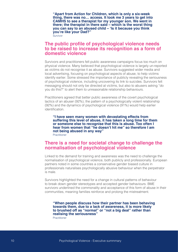**"Apart from Action for Children, which is only a six-week thing, there was no… access. It took me 3 years to get into CAMHS to see a therapist for my younger son. We went in there; the therapist in there said – which is the worst thing you can say to an abused child – 'Is it because you think you're like your Dad?"** 

Survivor

#### **The public profile of psychological violence needs to be raised to increase its recognition as a form of domestic violence**

Survivors and practitioners felt public awareness campaigns focus too much on physical violence. Many believed that psychological violence is largely un-reported as victims do not recognise it as abuse. Survivors suggested wider media and local advertising, focusing on psychological aspects of abuse, to help victims identify earlier. Some stressed the importance of publicly revealing the seriousness of psychological violence, including uncovering its link to suicides. Survivors felt messaging should not only be directed at victims, but also to abusers asking "do you do this?" to alert them to unreasonable relationship behaviours.

Practitioners agreed that better public awareness of the covert psychological tactics of an abuser (92%), the pattern of a psychologically violent relationship (92%) and the dynamics of psychological violence (91%) would help earlier identification.

**"I have seen many women with devastating effects from suffering this level of abuse, it has taken a long time for them or someone else to recognise that this is abuse. Too often I hear from women that "he doesn't hit me" so therefore I am not being abused in any way"**  Practitioner

#### **There is a need for societal change to challenge the normalisation of psychological violence**

Linked to the demand for training and awareness was the need to challenge the normalisation of psychological violence, both publicly and professionally. European partners noted in some countries a conservative gender biased culture in professionals naturalises psychologically abusive behaviour when the perpetrator is male.

Survivors highlighted the need for a change in cultural patterns of behaviour to break down gender stereotypes and accepted gender behaviours. BME survivors underlined the commonality and acceptance of this form of abuse in their communities, meaning families reinforce and prolong the mistreatment.

**"When people discuss how their partner has been behaving towards them, due to a lack of awareness, it is more likely to brushed off as "normal" or "not a big deal" rather than realising the seriousness"** 

**Practitioner**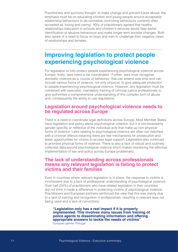Practitioners and survivors thought, to make change and prevent future abuse, the emphasis must be on educating children and young people around acceptable relationship behaviours to de-normalise controlling behaviours currently often accepted as 'loving and caring'. 93% of practitioners agreed that healthy relationships education in schools and children's services would help earlier identification of abusive behaviours and make longer term societal changes. Both also spoke of a need to focus on boys and men to challenge their negative views of relationships and females.

# **Improving legislation to protect people experiencing psychological violence**

For legislation to fully protect people experiencing psychological violence across Europe, firstly, laws need to be coordinated. Further, laws must recognise domestic violence as a 'course of behaviour' that can extend over time and can include various forms of violence, not only physical, to give adequate protection to people experiencing psychological violence. However, any legislation must be combined with specialist, mandatory training of criminal justice professionals to give authorities a comprehensive understanding of this complex form of abuse and, consequently the ability to use regulations.

#### **Legislation around psychological violence needs to be regulated across Europe**

There is a need to coordinate legal definitions across Europe. Most Member States have legislation and policy about psychological violence, but it is not necessarily gender-specific or reflective of the individual acts that make up non-physical forms of violence. Laws relating to psychological violence are often not matched with a criminal offence meaning there are few mechanisms for prosecution and fewer opportunities for victims to access legal support. Legislation also continues to prioritise physical forms of violence. There is also a lack of robust and routinely collected data around psychological violence which makes monitoring the effective implementation of law and policy across Europe problematic.

#### **The lack of understanding across professionals means any relevant legislation is failing to protect victims and their families**

Even in countries where relevant legislation is in place, the response to victims is inconsistent due to a lack of professional understanding of psychological violence. Over half (54%) of practitioners who have related legislation in their countries did not think it made a difference in protecting victims of psychological violence. Practitioners and European partners reinforced the view that this was mainly due to a lack of training and recognition in professionals, resulting in relevant laws not being used and a lack of convictions.

#### **"Legislation only has a real impact if it is properly implemented. This involves many issues from training of police agents to disseminating information and offering appropriate answers to tackle the needs of victims"**

European partner, Portugal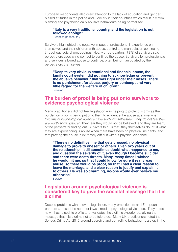European respondents also drew attention to the lack of education and gender biased attitudes in the police and judiciary in their countries which result in victim blaming and psychologically abusive behaviours being normalised.

#### **"Italy is a very traditional country, and the legislation is not followed enough"**

European partner, Italy

Survivors highlighted the negative impact of professional inexperience on themselves and their children with abuse, control and manipulation continuing throughout judicial proceedings. Nearly three-quarters (73%) of survivors said perpetrators used child contact to continue the abuse. Survivors felt professionals and services allowed abuse to continue, often being manipulated by the perpetrators themselves.

**"Despite very obvious emotional and financial abuse, the family court system did nothing to acknowledge or prevent the abusive behaviour that was right under their noses. There is no punishment for abuse, perjury or contempt and very little regard for the welfare of children"**  Survivor

#### **The burden of proof is being put onto survivors to evidence psychological violence**

Many practitioners did not feel legislation was helping to protect victims as the burden on proof is being put onto them to evidence the abuse at a time when *"victims of psychological violence have such low self-esteem they do not feel they are worth social justice"*. They fear they would not be believed, and they are fearful of the perpetrator finding out. Survivors told us that, they themselves doubt, if what they are experiencing is abuse when there have been no physical incidents, and that proving the abuse is extremely difficult without physical evidence.

**"There's no definitive line that gets crossed, no physical damage to prove to oneself or others. Even two years out of the relationship, I still sometimes doubt what happened to me, and question the severity of it, even though I became suicidal and there were death threats. Many, many times I wished he would hit me, so that I could know for sure it really was abuse, so there would be proof, so that I had a clear reason to leave the marriage, and a clear reason to justify and explain it to others. He was so charming, no-one would ever believe me otherwise"** 

Survivor

#### **Legislation around psychological violence is considered key to give the societal message that it is a crime**

Despite problems with relevant legislation, many practitioners and European partners stressed the need for laws aimed at psychological violence. They noted how it has raised its profile and, validates the victim's experience, giving the message that it is a crime not to be tolerated. Many UK practitioners noted the Serious Crime Act 2015 around coercive and controlling behaviour is a step in the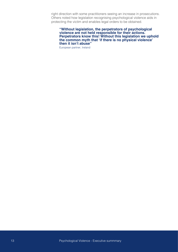right direction with some practitioners seeing an increase in prosecutions. Others noted how legislation recognising psychological violence aids in protecting the victim and enables legal orders to be obtained.

**"Without legislation, the perpetrators of psychological violence are not held responsible for their actions. Perpetrators know this! Without this legislation we uphold the common myth that 'if there is no physical violence' then it isn't abuse"** 

European partner, Ireland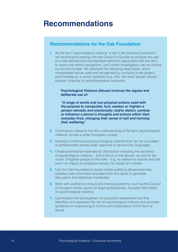# **Recommendations**

#### **Recommendations for the Oak Foundation**

**1.** As the term 'psychological violence' is set in the Istanbul Convention, we recommend working with the Council of Europe to promote the use of a well-defined and standardised definition associated with the term, to assist with earlier recognition, until further investigation can be carried out across Europe. We advocate the following description, which incorporates words used and recognised by survivors in the project acknowledging, in some countries (e.g. UK), the word 'abuse' should replace 'violence' to avoid theoretical confusion:

#### **Psychological Violence (Abuse) involves the regular and deliberate use of:**

*"A range of words and non-physical actions used with the purpose to manipulate, hurt, weaken or frighten a person mentally and emotionally; and/or distort, confuse*  **or influence a person's thoughts and actions within their**  *everyday lives, changing their sense of self and harming their wellbeing"* 

- **2.** Commission research into the understanding of the term 'psychological violence' across a wider European context.
- **3.** Develop a toolkit around psychological violence that can be circulated to professionals across wider agencies in several key languages.
- **4.** Create promotional materials for distribution exposing the dynamics of psychological violence – with a focus on the abuser, as well as the victim. Enlighten people to the risks – e.g. its relation to suicide and selfharm; its impact on pregnant women; its impact on children.
- **5.** Use the Oak Foundation's social media outlets to disseminate key statistics and information provided from the report to generate discussion and distribute knowledge.
- **6.** Work with partners to ensure any training platforms, such as the Council of Europe's online course for legal professionals, includes information on psychological violence.
- **7.** Commission the development of a practice assessment tool that identifies and assesses the risk of psychological violence and provides guidance on responding to victims and perpetrators of this form of abuse.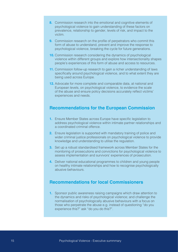- **8.** Commission research into the emotional and cognitive elements of psychological violence to gain understanding of these factors on prevalence, relationship to gender, levels of risk, and impact to the victim.
- **9.** Commission research on the profile of perpetrators who commit this form of abuse to understand, prevent and improve the response to psychological violence, breaking the cycle for future generations.
- **10.** Commission research considering the dynamics of psychological violence within different groups and explore how intersectionality shapes people's experiences of this form of abuse and access to resources.
- **11.** Commission follow-up research to gain a richer understanding of laws specifically around psychological violence, and to what extent they are being used across Europe.
- **12.** Advocate for more complete and comparable data, at national and European levels, on psychological violence, to evidence the scale of the abuse and ensure policy decisions accurately reflect victims' experiences and needs.

#### **Recommendations for the European Commission**

- **1.** Ensure Member States across Europe have specific legislation to address psychological violence within intimate partner relationships and a coordinated criminal offence.
- **2.** Ensure legislation is supported with mandatory training of police and wider criminal justice professionals on psychological violence to provide knowledge and understanding to utilise the regulation.
- **3.** Set up a robust standardised framework across Member States for the monitoring of prosecutions and convictions for psychological violence to assess implementation and survivors' experiences of prosecution.
- **4.** Deliver national educational programmes to children and young people on healthy intimate relationships and how to recognise psychologically abusive behaviours.

#### **Recommendations for local Commissioners**

**1.** Sponsor public awareness raising campaigns which draw attention to the dynamics and risks of psychological violence; and challenge the normalisation of psychologically abusive behaviours with a focus on those who perpetrate the abuse e.g. instead of questioning "do you experience this?" ask "do you do this?".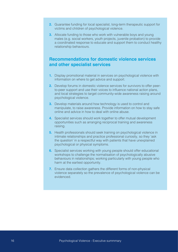- **2.** Guarantee funding for local specialist, long-term therapeutic support for victims and children of psychological violence.
- **3.** Allocate funding to those who work with vulnerable boys and young males (e.g. social workers, youth projects, juvenile probation) to provide a coordinated response to educate and support them to conduct healthy relationship behaviours.

#### **Recommendations for domestic violence services and other specialist services**

- **1.** Display promotional material in services on psychological violence with information on where to get advice and support.
- **2.** Develop forums in domestic violence services for survivors to offer peerto-peer support and use their voices to influence national action plans, and local strategies to target community-wide awareness raising around psychological violence.
- **3.** Develop materials around how technology is used to control and manipulate, to raise awareness. Provide information on how to stay safe online and advice in how to deal with online abuse.
- **4.** Specialist services should work together to offer mutual development opportunities such as arranging reciprocal training and awareness raising.
- **5.** Health professionals should seek training on psychological violence in intimate relationships and practice professional curiosity, so they 'ask the question' in a respectful way with patients that have unexplained psychological or physical symptoms.
- **6.** Specialist services working with young people should offer educational workshops to challenge the normalisation of psychologically abusive behaviours in relationships; working particularly with young people who harm at the earliest opportunity.
- **7.** Ensure data collection gathers the different forms of non-physical violence separately so the prevalence of psychological violence can be evidenced.